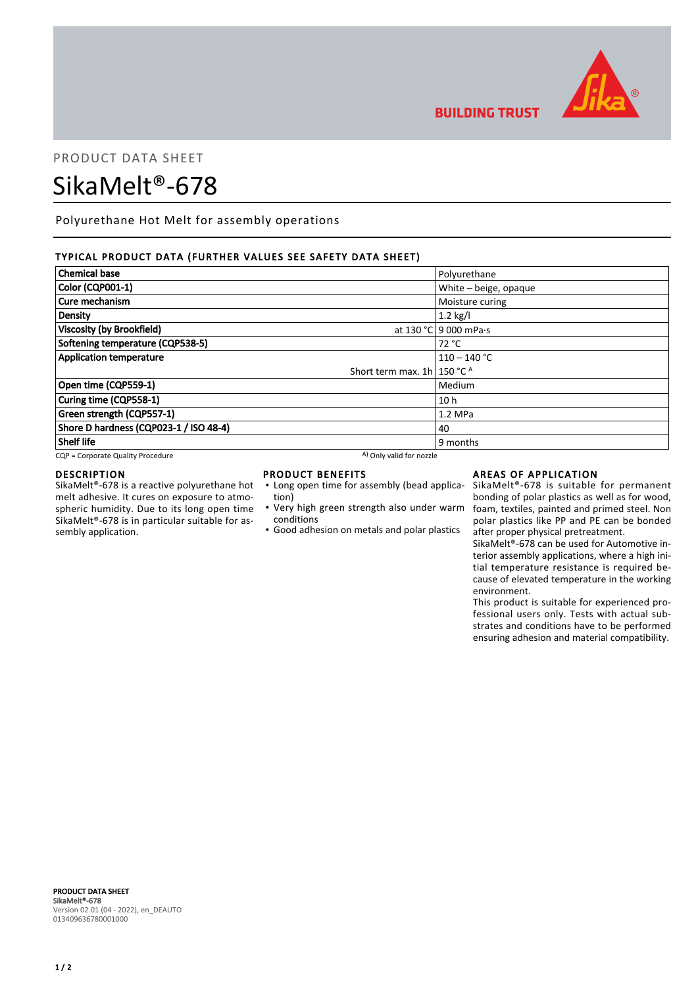

**BUILDING TRUST** 

## PRODUCT DATA SHEET

# SikaMelt®-678

Polyurethane Hot Melt for assembly operations

## TYPICAL PRODUCT DATA (FURTHER VALUES SEE SAFETY DATA SHEET)

| <b>Chemical base</b>                   | Polyurethane          |  |
|----------------------------------------|-----------------------|--|
| Color (CQP001-1)                       | White - beige, opaque |  |
| Cure mechanism                         | Moisture curing       |  |
| Density                                | $1.2$ kg/l            |  |
| <b>Viscosity (by Brookfield)</b>       | at 130 °C 9 000 mPa.s |  |
| Softening temperature (CQP538-5)       | 72 °C                 |  |
| <b>Application temperature</b>         | $110 - 140$ °C        |  |
| Short term max. $1h/150 °C$ A          |                       |  |
| Open time (CQP559-1)                   | Medium                |  |
| Curing time (CQP558-1)                 | 10 <sub>h</sub>       |  |
| Green strength (CQP557-1)              | $1.2$ MPa             |  |
| Shore D hardness (CQP023-1 / ISO 48-4) | 40                    |  |
| <b>Shelf life</b>                      | 9 months              |  |

 $CQP =$  Corporate Quality Procedure  $A$ ) Only valid for nozzle

#### DESCRIPTION

SikaMelt®-678 is a reactive polyurethane hot melt adhesive. It cures on exposure to atmospheric humidity. Due to its long open time SikaMelt®-678 is in particular suitable for assembly application.

### PRODUCT BENEFITS

- Long open time for assembly (bead application)
- Very high green strength also under warm conditions
- Good adhesion on metals and polar plastics

## AREAS OF APPLICATION

SikaMelt®-678 is suitable for permanent bonding of polar plastics as well as for wood, foam, textiles, painted and primed steel. Non polar plastics like PP and PE can be bonded after proper physical pretreatment.

SikaMelt®-678 can be used for Automotive interior assembly applications, where a high initial temperature resistance is required because of elevated temperature in the working environment.

This product is suitable for experienced professional users only. Tests with actual substrates and conditions have to be performed ensuring adhesion and material compatibility.